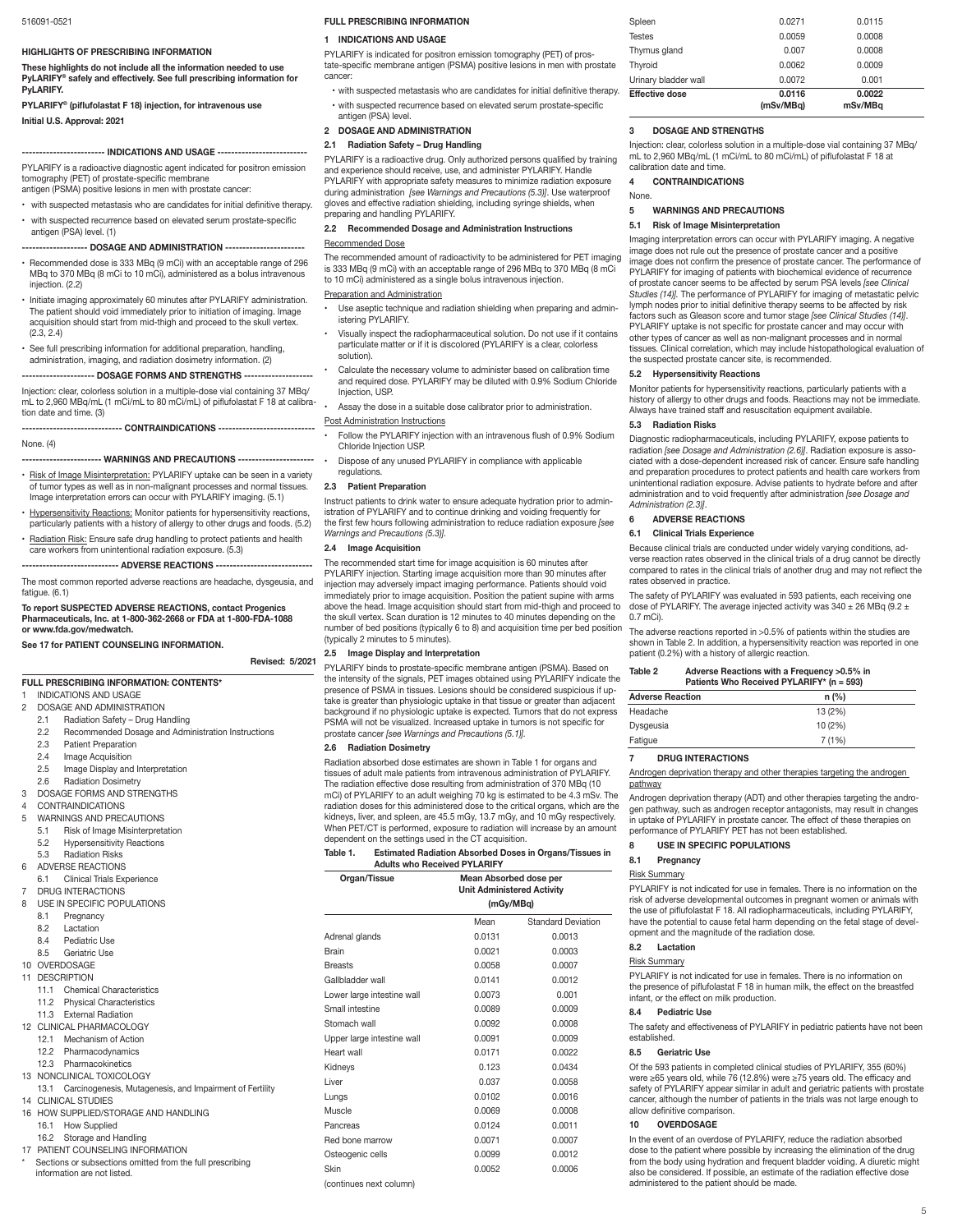#### **HIGHLIGHTS OF PRESCRIBING INFORMATION**

**These highlights do not include all the information needed to use PyLARIFY® safely and effectively. See full prescribing information for PyLARIFY.**

**PYLARIFY® (piflufolastat F 18) injection, for intravenous use Initial U.S. Approval: 2021**

## **------------------------ INDICATIONS AND USAGE --------------------------**

PYLARIFY is a radioactive diagnostic agent indicated for positron emission tomography (PET) of prostate-specific membrane antigen (PSMA) positive lesions in men with prostate cancer:

with suspected metastasis who are candidates for initial definitive therapy. with suspected recurrence based on elevated serum prostate-specific

antigen (PSA) level. (1) -- DOSAGE AND ADMINISTRATION ---

- Recommended dose is 333 MBq (9 mCi) with an acceptable range of 296 MBq to 370 MBq (8 mCi to 10 mCi), administered as a bolus intravenous injection. (2.2)
- Initiate imaging approximately 60 minutes after PYLARIFY administration. The patient should void immediately prior to initiation of imaging. Image acquisition should start from mid-thigh and proceed to the skull vertex.  $(2.3, 2.4)$
- See full prescribing information for additional preparation, handling, administration, imaging, and radiation dosimetry information. (2)

# **--- DOSAGE FORMS AND STRENGTHS ---**

Injection: clear, colorless solution in a multiple-dose vial containing 37 MBq/ mL to 2,960 MBq/mL (1 mCi/mL to 80 mCi/mL) of piflufolastat F 18 at calibration date and time. (3)

## **----------------------------- CONTRAINDICATIONS ----------------------------**

## None. (4)

# --- WARNINGS AND PRECAUTIONS -----

- Risk of Image Misinterpretation: PYLARIFY uptake can be seen in a variety of tumor types as well as in non-malignant processes and normal tissues. Image interpretation errors can occur with PYLARIFY imaging. (5.1)
- **Hypersensitivity Reactions:** Monitor patients for hypersensitivity reactions, particularly patients with a history of allergy to other drugs and foods. (5.2)
- Radiation Risk: Ensure safe drug handling to protect patients and health care workers from unintentional radiation exposure. (5.3)

# **---------------------------- ADVERSE REACTIONS ----------------------------**

The most common reported adverse reactions are headache, dysgeusia, and fatigue. (6.1)

### **To report SUSPECTED ADVERSE REACTIONS, contact Progenics Pharmaceuticals, Inc. at 1-800-362-2668 or FDA at 1-800-FDA-1088 or www.fda.gov/medwatch.**

## **See 17 for PATIENT COUNSELING INFORMATION.**

### **Revised: 5/2021**

**FULL PRESCRIBING INFORMATION: CONTENTS\***

## INDICATIONS AND USAGE

- - DOSAGE AND ADMINISTRATION<br>2 1 Radiation Safety Drug Ha
	- 2.1 Radiation Safety Drug Handling<br>2.2 Recommended Dosage and Adm 2.2 Recommended Dosage and Administration Instructions<br>2.3 Patient Preparation
	- 2.3 Patient Preparation<br>2.4 Image Acquisition
	- 2.4 Image Acquisition<br>2.5 Image Display and
	- 2.5 Image Display and Interpretation<br>2.6 Radiation Dosimetry
	- Radiation Dosimetry
- 3 DOSAGE FORMS AND STRENGTHS
- 4 CONTRAINDICATIONS<br>5 WARNINGS AND PREC
- WARNINGS AND PRECAUTIONS
	- 5.1 Risk of Image Misinterpretation
- 5.2 Hypersensitivity Reactions<br>5.3 Radiation Risks
- Radiation Risks
- 6 ADVERSE REACTIONS<br>6.1 Clinical Trials Ex

# Clinical Trials Experience

- 7 DRUG INTERACTIONS<br>8 LISE IN SPECIFIC POP
- USE IN SPECIFIC POPULATIONS<br>8.1 Pregnancy
- 8.1 Pregnancy<br>8.2 Lactation
- 8.2 Lactation<br>8.4 Pediatric
- 8.4 Pediatric Use<br>8.5 Geriatric Use
- Geriatric Use
- 10 OVERDOSAGE
- 11 DESCRIPTION
	- 11.1 Chemical Characteristics<br>11.2 Physical Characteristics
- Physical Characteristics
- 11.3 External Radiation
- 12 CLINICAL PHARMACOLOGY
- 12.1 Mechanism of Action
- 12.2 Pharmacodynamics
- 12.3 Pharmacokinetics
- 13 NONCLINICAL TOXICOLOGY
- 13.1 Carcinogenesis, Mutagenesis, and Impairment of Fertility 14 CLINICAL STUDIES
- 16 HOW SUPPLIED/STORAGE AND HANDLING
- 16.1 How Supplied
- 16.2 Storage and Handling
- 17 PATIENT COUNSELING INFORMATION
- Sections or subsections omitted from the full prescribing information are not listed.

### **FULL PRESCRIBING INFORMATION**

# **1 INDICATIONS AND USAGE**

PYLARIFY is indicated for positron emission tomography (PET) of prostate-specific membrane antigen (PSMA) positive lesions in men with prostate cancer:

with suspected metastasis who are candidates for initial definitive therapy. • with suspected recurrence based on elevated serum prostate-specific antigen (PSA) level.

## **2 DOSAGE AND ADMINISTRATION**

## **2.1 Radiation Safety – Drug Handling**

PYLARIFY is a radioactive drug. Only authorized persons qualified by training and experience should receive, use, and administer PYLARIFY. Handle PYLARIFY with appropriate safety measures to minimize radiation exposure during administration *[see Warnings and Precautions (5.3)]*. Use waterproof gloves and effective radiation shielding, including syringe shields, when preparing and handling PYLARIFY.

# **2.2 Recommended Dosage and Administration Instructions**

## Recommended Dose

The recommended amount of radioactivity to be administered for PET imaging is 333 MBq (9 mCi) with an acceptable range of 296 MBq to 370 MBq (8 mCi to 10 mCi) administered as a single bolus intravenous injection.

### Preparation and Administration

- Use aseptic technique and radiation shielding when preparing and administering PYLARIFY.
- Visually inspect the radiopharmaceutical solution. Do not use if it contains particulate matter or if it is discolored (PYLARIFY is a clear, colorless solution).
- Calculate the necessary volume to administer based on calibration time and required dose. PYLARIFY may be diluted with 0.9% Sodium Chloride Injection, USP.
- Assay the dose in a suitable dose calibrator prior to administration.

#### Post Administration Instructions

• Follow the PYLARIFY injection with an intravenous flush of 0.9% Sodium Chloride Injection USP.

- Dispose of any unused PYLARIFY in compliance with applicable regulations.
- **2.3 Patient Preparation**

Instruct patients to drink water to ensure adequate hydration prior to administration of PYLARIFY and to continue drinking and voiding frequently for the first few hours following administration to reduce radiation exposure *[see Warnings and Precautions (5.3)].*

#### **2.4 Image Acquisition**

The recommended start time for image acquisition is 60 minutes after PYLARIFY injection. Starting image acquisition more than 90 minutes after injection may adversely impact imaging performance. Patients should void immediately prior to image acquisition. Position the patient supine with arms above the head. Image acquisition should start from mid-thigh and proceed to the skull vertex. Scan duration is 12 minutes to 40 minutes depending on the number of bed positions (typically 6 to 8) and acquisition time per bed position (typically 2 minutes to 5 minutes).

#### **2.5 Image Display and Interpretation**

PYLARIFY binds to prostate-specific membrane antigen (PSMA). Based on the intensity of the signals, PET images obtained using PYLARIFY indicate the presence of PSMA in tissues. Lesions should be considered suspicious if uptake is greater than physiologic uptake in that tissue or greater than adjacent background if no physiologic uptake is expected. Tumors that do not express PSMA will not be visualized. Increased uptake in tumors is not specific for prostate cancer *[see Warnings and Precautions (5.1)].*

#### **2.6 Radiation Dosimetry**

Radiation absorbed dose estimates are shown in Table 1 for organs and tissues of adult male patients from intravenous administration of PYLARIFY. The radiation effective dose resulting from administration of 370 MBq (10 mCi) of PYLARIFY to an adult weighing 70 kg is estimated to be 4.3 mSv. The radiation doses for this administered dose to the critical organs, which are the kidneys, liver, and spleen, are 45.5 mGy, 13.7 mGy, and 10 mGy respectively. When PET/CT is performed, exposure to radiation will increase by an amount dependent on the settings used in the CT acquisition.

| Table 1. | <b>Estimated Radiation Absorbed Doses in Organs/Tissues in</b> |
|----------|----------------------------------------------------------------|
|          | <b>Adults who Received PYLARIFY</b>                            |

| Organ/Tissue               | Mean Absorbed dose per            |                                     | <b>Risk Summary</b><br>PYLARIFY is not indicated for use in female                         |                                                                                              |  |  |
|----------------------------|-----------------------------------|-------------------------------------|--------------------------------------------------------------------------------------------|----------------------------------------------------------------------------------------------|--|--|
|                            | <b>Unit Administered Activity</b> |                                     |                                                                                            |                                                                                              |  |  |
|                            | (mGy/MBg)                         |                                     |                                                                                            | risk of adverse developmental outcomes in<br>the use of piflufolastat F 18. All radiopharma  |  |  |
|                            | Mean                              | <b>Standard Deviation</b><br>0.0013 | have the potential to cause fetal harm depe<br>opment and the magnitude of the radiation   |                                                                                              |  |  |
| Adrenal glands             | 0.0131                            |                                     |                                                                                            |                                                                                              |  |  |
| Brain                      | 0.0021                            | 0.0003                              | 8.2                                                                                        | Lactation                                                                                    |  |  |
| <b>Breasts</b>             | 0.0058                            | 0.0007                              |                                                                                            | <b>Risk Summary</b>                                                                          |  |  |
| Gallbladder wall           | 0.0141                            | 0.0012                              |                                                                                            | PYLARIFY is not indicated for use in female                                                  |  |  |
| Lower large intestine wall | 0.0073                            | 0.001                               |                                                                                            | the presence of piflufolastat F 18 in human<br>infant, or the effect on milk production.     |  |  |
| Small intestine            | 0.0089                            | 0.0009                              | 8.4                                                                                        | <b>Pediatric Use</b>                                                                         |  |  |
| Stomach wall               | 0.0092                            | 0.0008                              |                                                                                            | The safety and effectiveness of PYLARIFY in                                                  |  |  |
| Upper large intestine wall | 0.0091                            | 0.0009                              | established.                                                                               |                                                                                              |  |  |
| Heart wall                 | 0.0171                            | 0.0022                              | 8.5                                                                                        | Geriatric Use                                                                                |  |  |
| Kidneys                    | 0.123                             | 0.0434                              |                                                                                            | Of the 593 patients in completed clinical stu                                                |  |  |
| Liver                      | 0.037                             | 0.0058                              |                                                                                            | were ≥65 years old, while 76 (12.8%) were a                                                  |  |  |
| Lungs                      | 0.0102                            | 0.0016                              |                                                                                            | safety of PYLARIFY appear similar in adult a<br>cancer, although the number of patients in t |  |  |
| Muscle                     | 0.0069                            | 0.0008                              |                                                                                            | allow definitive comparison.                                                                 |  |  |
| Pancreas                   | 0.0124                            | 0.0011                              | 10                                                                                         | <b>OVERDOSAGE</b>                                                                            |  |  |
| Red bone marrow            | 0.0071                            | 0.0007                              |                                                                                            | In the event of an overdose of PYLARIFY, re                                                  |  |  |
| Osteogenic cells           | 0.0099                            | 0.0012                              |                                                                                            | dose to the patient where possible by increa                                                 |  |  |
| Skin                       | 0.0052                            | 0.0006                              | from the body using hydration and frequent<br>also be considered. If possible, an estimate |                                                                                              |  |  |
| (continues next column)    |                                   |                                     |                                                                                            | administered to the patient should be made                                                   |  |  |

Spleen 0.0271 0.0115 Testes 0.0059 0.0008 Thymus gland 0.007 0.0008 Thyroid 0.0062 0.0009 Urinary bladder wall 0.0072 0.001 **Effective dose 0.0116 0.0022**<br> **CONSV/MB**a  **(mSv/MBq) mSv/MBq**

#### **3 DOSAGE AND STRENGTHS**

Injection: clear, colorless solution in a multiple-dose vial containing 37 MBq/ mL to 2,960 MBq/mL (1 mCi/mL to 80 mCi/mL) of piflufolastat F 18 at calibration date and time

## **4 CONTRAINDICATIONS**

None.

**5 WARNINGS AND PRECAUTIONS**

## **5.1 Risk of Image Misinterpretation**

Imaging interpretation errors can occur with PYLARIFY imaging. A negative image does not rule out the presence of prostate cancer and a positive image does not confirm the presence of prostate cancer. The performance of PYLARIFY for imaging of patients with biochemical evidence of recurrence of prostate cancer seems to be affected by serum PSA levels *[see Clinical Studies (14)].* The performance of PYLARIFY for imaging of metastatic pelvic lymph nodes prior to initial definitive therapy seems to be affected by risk factors such as Gleason score and tumor stage *[see Clinical Studies (14)]*. PYLARIFY uptake is not specific for prostate cancer and may occur with other types of cancer as well as non-malignant processes and in normal tissues. Clinical correlation, which may include histopathological evaluation of the suspected prostate cancer site, is recommended.

Monitor patients for hypersensitivity reactions, particularly patients with a history of allergy to other drugs and foods. Reactions may not be immediate. Always have trained staff and resuscitation equipment available.

Diagnostic radiopharmaceuticals, including PYLARIFY, expose patients to radiation *[see Dosage and Administration (2.6)]*. Radiation exposure is associated with a dose-dependent increased risk of cancer. Ensure safe handling and preparation procedures to protect patients and health care workers from unintentional radiation exposure. Advise patients to hydrate before and after administration and to void frequently after administration *[see Dosage and* 

Because clinical trials are conducted under widely varying conditions, ad-verse reaction rates observed in the clinical trials of a drug cannot be directly compared to rates in the clinical trials of another drug and may not reflect the

The safety of PYLARIFY was evaluated in 593 patients, each receiving one dose of PYLARIFY. The average injected activity was 340  $\pm$  26 MBq (9.2  $\pm$ 

The adverse reactions reported in >0.5% of patients within the studies are shown in Table 2. In addition, a hypersensitivity reaction was reported in one patient (0.2%) with a history of allergic reaction.

Androgen deprivation therapy and other therapies targeting the androgen

Androgen deprivation therapy (ADT) and other therapies targeting the androgen pathway, such as androgen receptor antagonists, may result in changes in uptake of PYLARIFY in prostate cancer. The effect of these therapies on<br>performance of PYLARIFY PET has not been established.

PYLARIFY is not indicated for use in females. There is no information on the risk of adverse developmental outcomes in pregnant women or animals with the use of piflufolastat F 18. All radiopharmaceuticals, including PYLARIFY, have the potential to cause fetal harm depending on the fetal stage of devel-

PYLARIFY is not indicated for use in females. There is no information on the presence of piflufolastat F 18 in human milk, the effect on the breastfed

The safety and effectiveness of PYLARIFY in pediatric patients have not been

Of the 593 patients in completed clinical studies of PYLARIFY, 355 (60%) were ≥65 years old, while 76 (12.8%) were ≥75 years old. The efficacy and<br>safety of PYLARIFY appear similar in adult and geriatric patients with prostate cancer, although the number of patients in the trials was not large enough to

In the event of an overdose of PYLARIFY, reduce the radiation absorbed dose to the patient where possible by increasing the elimination of the drug from the body using hydration and frequent bladder voiding. A diuretic might also be considered. If possible, an estimate of the radiation effective dose

5

**Table 2 Adverse Reactions with a Frequency >0.5% in Patients Who Received PYLARIFY\* (n = 593)**

**Adverse Reaction n (%)** Headache 13 (2%) Dysgeusia 10 (2%) Fatigue 7 (1%)

#### **5.2 Hypersensitivity Reactions**

**5.3 Radiation Risks**

*Administration (2.3)]*. **6 ADVERSE REACTIONS 6.1 Clinical Trials Experience**

rates observed in practice.

**7 DRUG INTERACTIONS**

**8 USE IN SPECIFIC POPULATIONS**

opment and the magnitude of the radiation dose.

0.7 mCi).

pathway

**8.1 Pregnancy** Risk Summary